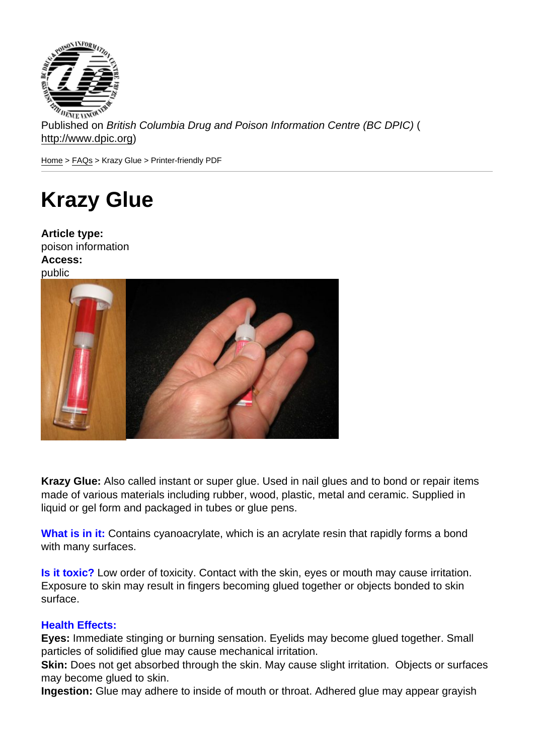Published on British Columbia Drug and Poison Information Centre (BC DPIC) ( http://www.dpic.org)

Home > FAQs > Krazy Glue > Printer-friendly PDF

# [Kr](http://www.dpic.org/)[azy](http://www.dpic.org/faq) Glue

Article type: poison information Access: public

Krazy Glue: Also called instant or super glue. Used in nail glues and to bond or repair items made of various materials including rubber, wood, plastic, metal and ceramic. Supplied in liquid or gel form and packaged in tubes or glue pens.

What is in it: Contains cyanoacrylate, which is an acrylate resin that rapidly forms a bond with many surfaces.

Is it toxic? Low order of toxicity. Contact with the skin, eyes or mouth may cause irritation. Exposure to skin may result in fingers becoming glued together or objects bonded to skin surface.

## Health Effects:

Eyes: Immediate stinging or burning sensation. Eyelids may become glued together. Small particles of solidified glue may cause mechanical irritation.

Skin: Does not get absorbed through the skin. May cause slight irritation. Objects or surfaces may become glued to skin.

Ingestion: Glue may adhere to inside of mouth or throat. Adhered glue may appear grayish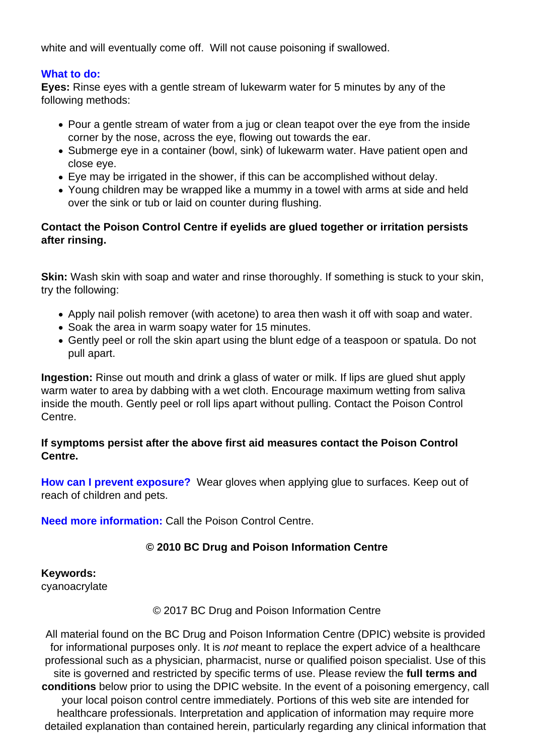white and will eventually come off. Will not cause poisoning if swallowed.

#### **What to do:**

**Eyes:** Rinse eyes with a gentle stream of lukewarm water for 5 minutes by any of the following methods:

- Pour a gentle stream of water from a jug or clean teapot over the eve from the inside corner by the nose, across the eye, flowing out towards the ear.
- Submerge eye in a container (bowl, sink) of lukewarm water. Have patient open and close eye.
- Eye may be irrigated in the shower, if this can be accomplished without delay.
- Young children may be wrapped like a mummy in a towel with arms at side and held over the sink or tub or laid on counter during flushing.

# **Contact the Poison Control Centre if eyelids are glued together or irritation persists after rinsing.**

**Skin:** Wash skin with soap and water and rinse thoroughly. If something is stuck to your skin, try the following:

- Apply nail polish remover (with acetone) to area then wash it off with soap and water.
- Soak the area in warm soapy water for 15 minutes.
- Gently peel or roll the skin apart using the blunt edge of a teaspoon or spatula. Do not pull apart.

**Ingestion:** Rinse out mouth and drink a glass of water or milk. If lips are glued shut apply warm water to area by dabbing with a wet cloth. Encourage maximum wetting from saliva inside the mouth. Gently peel or roll lips apart without pulling. Contact the Poison Control Centre.

## **If symptoms persist after the above first aid measures contact the Poison Control Centre.**

**How can I prevent exposure?** Wear gloves when applying glue to surfaces. Keep out of reach of children and pets.

**Need more information:** Call the Poison Control Centre.

# **© 2010 BC Drug and Poison Information Centre**

**Keywords:** 

cyanoacrylate

## © 2017 BC Drug and Poison Information Centre

All material found on the BC Drug and Poison Information Centre (DPIC) website is provided for informational purposes only. It is *not* meant to replace the expert advice of a healthcare professional such as a physician, pharmacist, nurse or qualified poison specialist. Use of this site is governed and restricted by specific terms of use. Please review the **full terms and conditions** below prior to using the DPIC website. In the event of a poisoning emergency, call your local poison control centre immediately. Portions of this web site are intended for healthcare professionals. Interpretation and application of information may require more detailed explanation than contained herein, particularly regarding any clinical information that